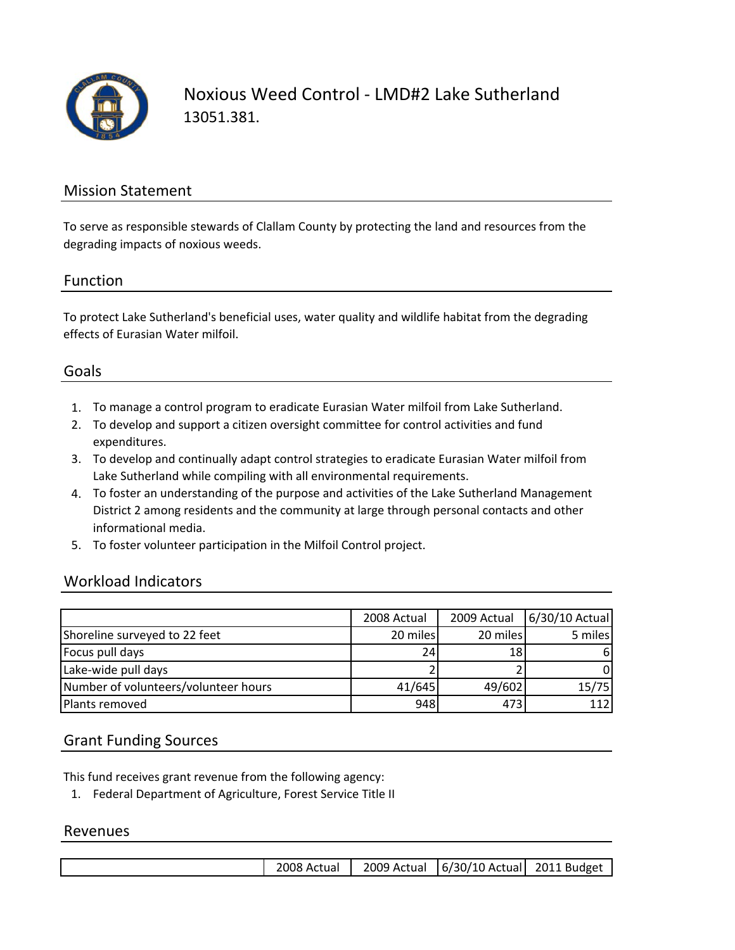

Noxious Weed Control ‐ LMD#2 Lake Sutherland 13051.381.

# Mission Statement

To serve as responsible stewards of Clallam County by protecting the land and resources from the degrading impacts of noxious weeds.

# Function

To protect Lake Sutherland's beneficial uses, water quality and wildlife habitat from the degrading effects of Eurasian Water milfoil.

# Goals

- 1. To manage a control program to eradicate Eurasian Water milfoil from Lake Sutherland.
- 2. To develop and support a citizen oversight committee for control activities and fund expenditures.
- 3. To develop and continually adapt control strategies to eradicate Eurasian Water milfoil from Lake Sutherland while compiling with all environmental requirements.
- 4. To foster an understanding of the purpose and activities of the Lake Sutherland Management District 2 among residents and the community at large through personal contacts and other informational media.
- 5. To foster volunteer participation in the Milfoil Control project.

# Workload Indicators

|                                      | 2008 Actual | 2009 Actual | 6/30/10 Actual |
|--------------------------------------|-------------|-------------|----------------|
| Shoreline surveyed to 22 feet        | 20 miles    | 20 miles    | 5 miles        |
| Focus pull days                      | 24          | 18          | 6              |
| Lake-wide pull days                  |             |             | 0              |
| Number of volunteers/volunteer hours | 41/645      | 49/602      | 15/75          |
| Plants removed                       | 948         | 473         | 112            |

# Grant Funding Sources

This fund receives grant revenue from the following agency:

1. Federal Department of Agriculture, Forest Service Title II

#### Revenues

| 2008 Actual | 2009 Actual   6/30/10 Actual 2011 Budget |  |
|-------------|------------------------------------------|--|
|             |                                          |  |